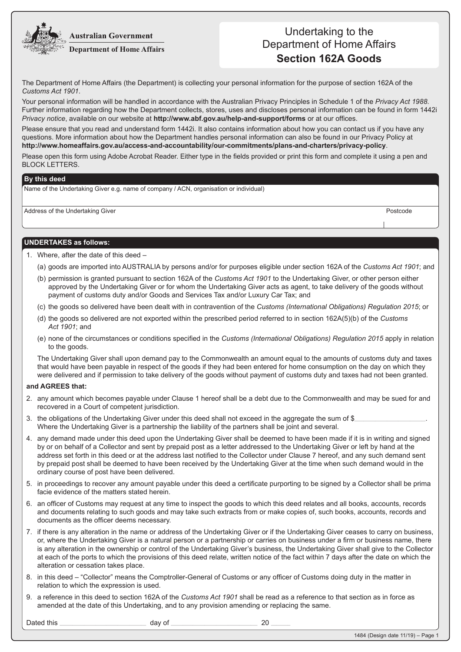**Australian Government** 



## Undertaking to the Department of Home Affairs **Section 162A Goods**

The Department of Home Affairs (the Department) is collecting your personal information for the purpose of section 162A of the *Customs Act 1901*.

Your personal information will be handled in accordance with the Australian Privacy Principles in Schedule 1 of the *Privacy Act 1988*. Further information regarding how the Department collects, stores, uses and discloses personal information can be found in form 1442i *Privacy notice*, available on our website at **http://www.abf.gov.au/help-and-support/forms** or at our offices.

Please ensure that you read and understand form 1442i. It also contains information about how you can contact us if you have any questions. More information about how the Department handles personal information can also be found in our Privacy Policy at **http://www.homeaffairs.gov.au/access-and-accountability/our-commitments/plans-and-charters/privacy-policy**.

Please open this form using Adobe Acrobat Reader. Either type in the fields provided or print this form and complete it using a pen and BLOCK LETTERS.

## **By this deed**

Name of the Undertaking Giver e.g. name of company / ACN, organisation or individual)

Address of the Undertaking Giver **Postcode Postcode** Postcode **Postcode** Postcode

## **UNDERTAKES as follows:**

- 1. Where, after the date of this deed
	- (a) goods are imported into AUSTRALIA by persons and/or for purposes eligible under section 162A of the *Customs Act 1901*; and
	- (b) permission is granted pursuant to section 162A of the *Customs Act 1901* to the Undertaking Giver, or other person either approved by the Undertaking Giver or for whom the Undertaking Giver acts as agent, to take delivery of the goods without payment of customs duty and/or Goods and Services Tax and/or Luxury Car Tax; and
	- (c) the goods so delivered have been dealt with in contravention of the *Customs (International Obligations) Regulation 2015*; or
	- (d) the goods so delivered are not exported within the prescribed period referred to in section 162A(5)(b) of the *Customs Act 1901*; and
	- (e) none of the circumstances or conditions specified in the *Customs (International Obligations) Regulation 2015* apply in relation to the goods.

The Undertaking Giver shall upon demand pay to the Commonwealth an amount equal to the amounts of customs duty and taxes that would have been payable in respect of the goods if they had been entered for home consumption on the day on which they were delivered and if permission to take delivery of the goods without payment of customs duty and taxes had not been granted.

## **and AGREES that:**

- 2. any amount which becomes payable under Clause 1 hereof shall be a debt due to the Commonwealth and may be sued for and recovered in a Court of competent jurisdiction.
- 3. the obligations of the Undertaking Giver under this deed shall not exceed in the aggregate the sum of  $\frac{1}{2}$ Where the Undertaking Giver is a partnership the liability of the partners shall be joint and several.
- 4. any demand made under this deed upon the Undertaking Giver shall be deemed to have been made if it is in writing and signed by or on behalf of a Collector and sent by prepaid post as a letter addressed to the Undertaking Giver or left by hand at the address set forth in this deed or at the address last notified to the Collector under Clause 7 hereof, and any such demand sent by prepaid post shall be deemed to have been received by the Undertaking Giver at the time when such demand would in the ordinary course of post have been delivered.
- 5. in proceedings to recover any amount payable under this deed a certificate purporting to be signed by a Collector shall be prima facie evidence of the matters stated herein.
- 6. an officer of Customs may request at any time to inspect the goods to which this deed relates and all books, accounts, records and documents relating to such goods and may take such extracts from or make copies of, such books, accounts, records and documents as the officer deems necessary.
- 7. if there is any alteration in the name or address of the Undertaking Giver or if the Undertaking Giver ceases to carry on business, or, where the Undertaking Giver is a natural person or a partnership or carries on business under a firm or business name, there is any alteration in the ownership or control of the Undertaking Giver's business, the Undertaking Giver shall give to the Collector at each of the ports to which the provisions of this deed relate, written notice of the fact within 7 days after the date on which the alteration or cessation takes place.
- 8. in this deed "Collector" means the Comptroller-General of Customs or any officer of Customs doing duty in the matter in relation to which the expression is used.
- 9. a reference in this deed to section 162A of the *Customs Act 1901* shall be read as a reference to that section as in force as amended at the date of this Undertaking, and to any provision amending or replacing the same.

Dated this \_\_\_\_\_\_\_\_\_\_\_\_\_\_\_\_\_\_\_\_\_\_\_\_\_\_\_\_\_\_\_\_\_\_\_\_\_\_\_\_\_\_\_\_\_\_\_\_\_\_\_\_\_\_\_\_\_\_\_\_\_\_\_\_\_\_\_ day of \_\_\_\_\_\_\_\_\_\_\_\_\_\_\_\_\_\_\_\_\_\_\_\_\_\_\_\_\_\_\_\_\_\_\_\_\_\_\_\_\_\_\_\_\_\_\_\_\_\_\_\_\_\_\_\_\_\_\_\_\_\_\_\_\_\_\_ 20 \_\_\_\_\_\_\_\_\_\_\_\_\_\_\_